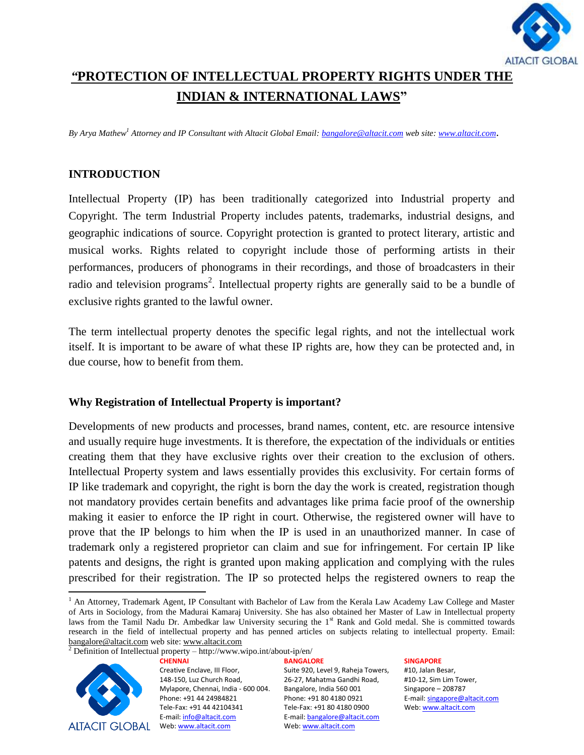

# *"***PROTECTION OF INTELLECTUAL PROPERTY RIGHTS UNDER THE INDIAN & INTERNATIONAL LAWS"**

*By Arya Mathew<sup>1</sup> Attorney and IP Consultant with Altacit Global Email: [bangalore@altacit.com](mailto:bangalore@altacit.com) web site[: www.altacit.com](http://www.altacit.com/)*.

### **INTRODUCTION**

Intellectual Property (IP) has been traditionally categorized into Industrial property and Copyright. The term Industrial Property includes patents, trademarks, industrial designs, and geographic indications of source. Copyright protection is granted to protect literary, artistic and musical works. Rights related to copyright include those of performing artists in their performances, producers of phonograms in their recordings, and those of broadcasters in their radio and television programs<sup>2</sup>. Intellectual property rights are generally said to be a [bundle](http://en.wikipedia.org/wiki/Bundle_of_rights) of exclusive rights granted to the lawful owner.

The term intellectual property denotes the specific legal rights, and not the intellectual work itself. It is important to be aware of what these IP rights are, how they can be protected and, in due course, how to benefit from them.

### **Why Registration of Intellectual Property is important?**

Developments of new products and processes, brand names, content, etc. are resource intensive and usually require huge investments. It is therefore, the expectation of the individuals or entities creating them that they have exclusive rights over their creation to the exclusion of others. Intellectual Property system and laws essentially provides this exclusivity. For certain forms of IP like trademark and copyright, the right is born the day the work is created, registration though not mandatory provides certain benefits and advantages like prima facie proof of the ownership making it easier to enforce the IP right in court. Otherwise, the registered owner will have to prove that the IP belongs to him when the IP is used in an unauthorized manner. In case of trademark only a registered proprietor can claim and sue for infringement. For certain IP like patents and designs, the right is granted upon making application and complying with the rules prescribed for their registration. The IP so protected helps the registered owners to reap the

<sup>2</sup> Definition of Intellectual property – http://www.wipo.int/about-ip/en/



**CHENNAI** Creative Enclave, III Floor, 148-150, Luz Church Road, Mylapore, Chennai, India - 600 004. Phone: +91 44 24984821 Tele-Fax: +91 44 42104341 E-mail: info@altacit.com

**BANGALORE** Suite 920, Level 9, Raheja Towers, 26-27, Mahatma Gandhi Road, Bangalore, India 560 001 Phone: +91 80 4180 0921 Tele-Fax: +91 80 4180 0900 E-mail: bangalore@altacit.com Web: www.altacit.com

#### **SINGAPORE**

 $\overline{\phantom{a}}$ <sup>1</sup> An Attorney, Trademark Agent, IP Consultant with Bachelor of Law from the Kerala Law Academy Law College and Master of Arts in Sociology, from the Madurai Kamaraj University. She has also obtained her Master of Law in Intellectual property laws from the Tamil Nadu Dr. Ambedkar law University securing the 1<sup>st</sup> Rank and Gold medal. She is committed towards research in the field of intellectual property and has penned articles on subjects relating to intellectual property. Email: [bangalore@altacit.com](mailto:bangalore@altacit.com) web site: [www.altacit.com](http://www.altacit.com/)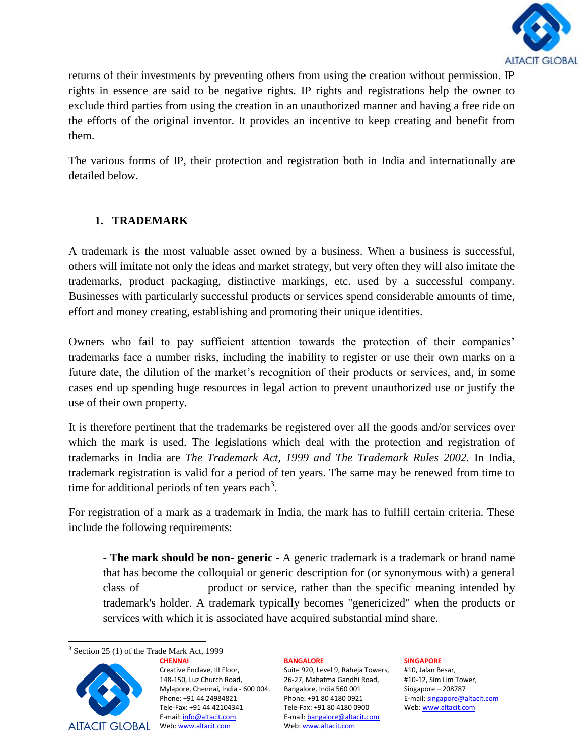

returns of their investments by preventing others from using the creation without permission. IP rights in essence are said to be negative rights. IP rights and registrations help the owner to exclude third parties from using the creation in an unauthorized manner and having a free ride on the efforts of the original inventor. It provides an incentive to keep creating and benefit from them.

The various forms of IP, their protection and registration both in India and internationally are detailed below.

# **1. TRADEMARK**

A trademark is the most valuable asset owned by a business. When a business is successful, others will imitate not only the ideas and market strategy, but very often they will also imitate the trademarks, product packaging, distinctive markings, etc. used by a successful company. Businesses with particularly successful products or services spend considerable amounts of time, effort and money creating, establishing and promoting their unique identities.

Owners who fail to pay sufficient attention towards the protection of their companies" trademarks face a number risks, including the inability to register or use their own marks on a future date, the dilution of the market's recognition of their products or services, and, in some cases end up spending huge resources in legal action to prevent unauthorized use or justify the use of their own property.

It is therefore pertinent that the trademarks be registered over all the goods and/or services over which the mark is used. The legislations which deal with the protection and registration of trademarks in India are *The Trademark Act, 1999 and The Trademark Rules 2002.* In India, trademark registration is valid for a period of ten years. The same may be renewed from time to time for additional periods of ten years each<sup>3</sup>.

For registration of a mark as a trademark in India, the mark has to fulfill certain criteria. These include the following requirements:

**- The mark should be non- generic** - A generic trademark is a [trademark](http://en.wikipedia.org/wiki/Trademark) or [brand name](http://en.wikipedia.org/wiki/Brand_name) that has become the colloquial or generic description for (or synonymous with) a general class of [product](http://en.wikipedia.org/wiki/Good_(economics_and_accounting)) or [service,](http://en.wikipedia.org/wiki/Service_(economics)) rather than the specific meaning intended by trademark's holder. A trademark typically becomes "genericized" when the products or services with which it is associated have acquired substantial mind share.

 $\overline{\phantom{a}}$ <sup>3</sup> Section 25 (1) of the Trade Mark Act, 1999



**CHENNAI** Creative Enclave, III Floor, 148-150, Luz Church Road, Mylapore, Chennai, India - 600 004. Phone: +91 44 24984821 Tele-Fax: +91 44 42104341 E-mail: info@altacit.com

### **BANGALORE**

Suite 920, Level 9, Raheja Towers, 26-27, Mahatma Gandhi Road, Bangalore, India 560 001 Phone: +91 80 4180 0921 Tele-Fax: +91 80 4180 0900 E-mail: bangalore@altacit.com Web: www.altacit.com

### **SINGAPORE**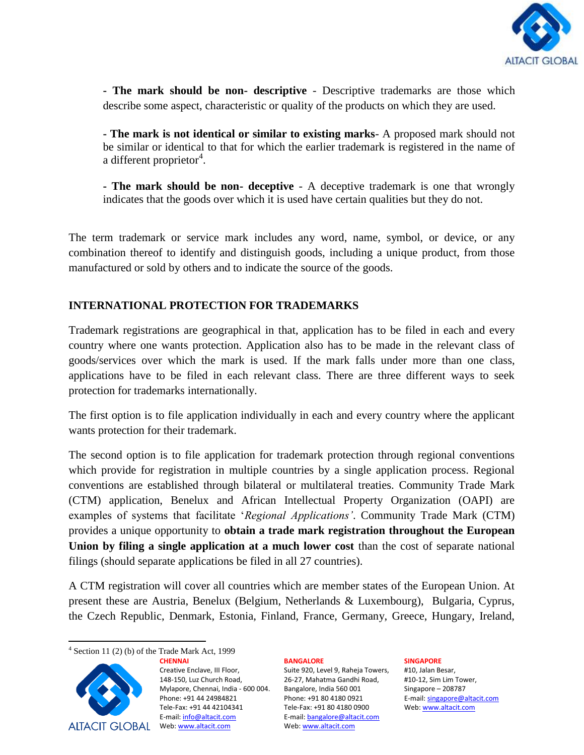

**- The mark should be non- descriptive** - Descriptive trademarks are those which describe some aspect, characteristic or quality of the products on which they are used.

**- The mark is not identical or similar to existing marks**- A proposed mark should not be similar or identical to that for which the earlier trademark is registered in the name of a different proprietor<sup>4</sup>.

**- The mark should be non- deceptive** - A deceptive trademark is one that wrongly indicates that the goods over which it is used have certain qualities but they do not.

The term trademark or service mark includes any word, name, symbol, or device, or any combination thereof to identify and distinguish goods, including a unique product, from those manufactured or sold by others and to indicate the source of the goods.

# **INTERNATIONAL PROTECTION FOR TRADEMARKS**

Trademark registrations are geographical in that, application has to be filed in each and every country where one wants protection. Application also has to be made in the relevant class of goods/services over which the mark is used. If the mark falls under more than one class, applications have to be filed in each relevant class. There are three different ways to seek protection for trademarks internationally.

The first option is to file application individually in each and every country where the applicant wants protection for their trademark.

The second option is to file application for trademark protection through regional conventions which provide for registration in multiple countries by a single application process. Regional conventions are established through bilateral or multilateral treaties. Community Trade Mark (CTM) application, Benelux and African Intellectual Property Organization (OAPI) are examples of systems that facilitate "*Regional Applications'*. Community Trade Mark (CTM) provides a unique opportunity to **obtain a trade mark registration throughout the European Union by filing a single application at a much lower cost** than the cost of separate national filings (should separate applications be filed in all 27 countries).

A CTM registration will cover all countries which are member states of the European Union. At present these are Austria, Benelux (Belgium, Netherlands & Luxembourg), Bulgaria, Cyprus, the Czech Republic, Denmark, Estonia, Finland, France, Germany, Greece, Hungary, Ireland,

**CHENNAI**



Creative Enclave, III Floor, 148-150, Luz Church Road, Mylapore, Chennai, India - 600 004. Phone: +91 44 24984821 Tele-Fax: +91 44 42104341 E-mail: info@altacit.com

### **BANGALORE**

Suite 920, Level 9, Raheja Towers, 26-27, Mahatma Gandhi Road, Bangalore, India 560 001 Phone: +91 80 4180 0921 Tele-Fax: +91 80 4180 0900 E-mail: bangalore@altacit.com Web: www.altacit.com

### **SINGAPORE**

 $\overline{\phantom{a}}$ 4 Section 11 (2) (b) of the Trade Mark Act, 1999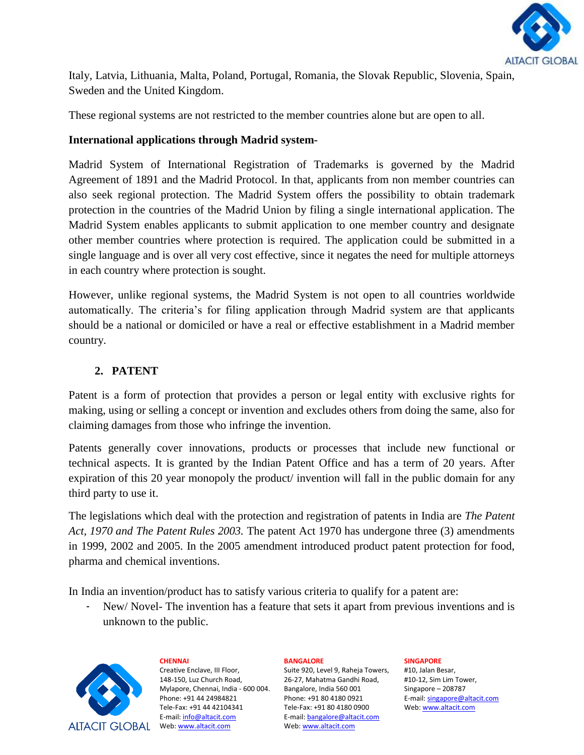

Italy, Latvia, Lithuania, Malta, Poland, Portugal, Romania, the Slovak Republic, Slovenia, Spain, Sweden and the United Kingdom.

These regional systems are not restricted to the member countries alone but are open to all.

# **International applications through Madrid system-**

Madrid System of International Registration of Trademarks is governed by the Madrid Agreement of 1891 and the Madrid Protocol. In that, applicants from non member countries can also seek regional protection. The Madrid System offers the possibility to obtain trademark protection in the countries of the Madrid Union by filing a single international application. The Madrid System enables applicants to submit application to one member country and designate other member countries where protection is required. The application could be submitted in a single language and is over all very cost effective, since it negates the need for multiple attorneys in each country where protection is sought.

However, unlike regional systems, the Madrid System is not open to all countries worldwide automatically. The criteria"s for filing application through Madrid system are that applicants should be a national or domiciled or have a real or effective establishment in a Madrid member country.

# **2. PATENT**

Patent is a form of protection that provides a person or legal entity with exclusive rights for making, using or selling a concept or invention and excludes others from doing the same, also for claiming damages from those who infringe the invention.

Patents generally cover innovations, products or processes that include new functional or technical aspects. It is granted by the Indian Patent Office and has a term of 20 years. After expiration of this 20 year monopoly the product/ invention will fall in the public domain for any third party to use it.

The legislations which deal with the protection and registration of patents in India are *The Patent Act, 1970 and The Patent Rules 2003.* The patent Act 1970 has undergone three (3) amendments in 1999, 2002 and 2005. In the 2005 amendment introduced product patent protection for food, pharma and chemical inventions.

In India an invention/product has to satisfy various criteria to qualify for a patent are:

- New/ Novel- The invention has a feature that sets it apart from previous inventions and is unknown to the public.



# **CHENNAI**

Creative Enclave, III Floor, 148-150, Luz Church Road, Mylapore, Chennai, India - 600 004. Phone: +91 44 24984821 Tele-Fax: +91 44 42104341 E-mail: info@altacit.com

### **BANGALORE**

Suite 920, Level 9, Raheja Towers, 26-27, Mahatma Gandhi Road, Bangalore, India 560 001 Phone: +91 80 4180 0921 Tele-Fax: +91 80 4180 0900 E-mail: bangalore@altacit.com Web: www.altacit.com

### **SINGAPORE**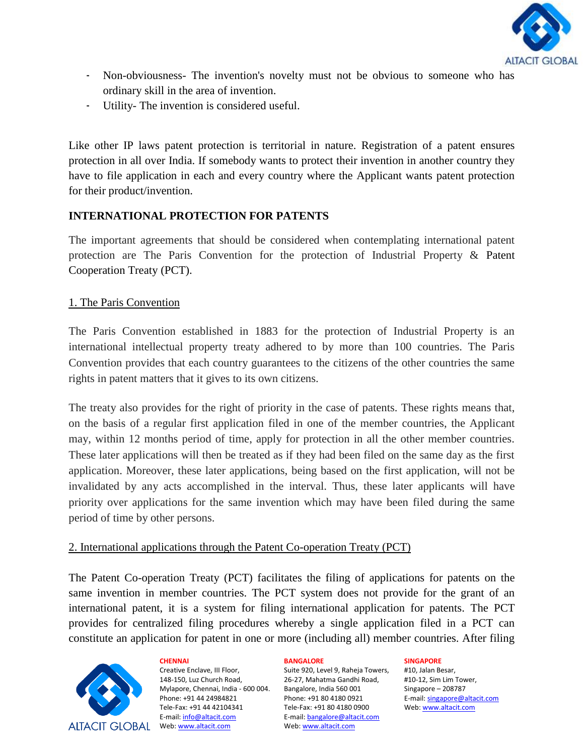

- Non-obviousness- The invention's novelty must not be obvious to someone who has ordinary skill in the area of invention.
- Utility- The invention is considered useful.

Like other IP laws patent protection is territorial in nature. Registration of a patent ensures protection in all over India. If somebody wants to protect their invention in another country they have to file application in each and every country where the Applicant wants patent protection for their product/invention.

# **INTERNATIONAL PROTECTION FOR PATENTS**

The important agreements that should be considered when contemplating international patent protection are The Paris Convention for the protection of Industrial Property & Patent Cooperation Treaty (PCT).

### 1. The Paris Convention

The Paris Convention established in 1883 for the protection of Industrial Property is an international intellectual property treaty adhered to by more than 100 countries. The Paris Convention provides that each country guarantees to the citizens of the other countries the same rights in patent matters that it gives to its own citizens.

The treaty also provides for the right of priority in the case of patents. These rights means that, on the basis of a regular first application filed in one of the member countries, the Applicant may, within 12 months period of time, apply for protection in all the other member countries. These later applications will then be treated as if they had been filed on the same day as the first application. Moreover, these later applications, being based on the first application, will not be invalidated by any acts accomplished in the interval. Thus, these later applicants will have priority over applications for the same invention which may have been filed during the same period of time by other persons.

# 2. International applications through the Patent Co-operation Treaty (PCT)

The Patent Co-operation Treaty (PCT) facilitates the filing of applications for patents on the same invention in member countries. The PCT system does not provide for the grant of an international patent, it is a system for filing international application for patents. The PCT provides for centralized filing procedures whereby a single application filed in a PCT can constitute an application for patent in one or more (including all) member countries. After filing



Creative Enclave, III Floor, 148-150, Luz Church Road, Mylapore, Chennai, India - 600 004. Phone: +91 44 24984821 Tele-Fax: +91 44 42104341 E-mail: info@altacit.com

**CHENNAI**

#### **BANGALORE**

Suite 920, Level 9, Raheja Towers, 26-27, Mahatma Gandhi Road, Bangalore, India 560 001 Phone: +91 80 4180 0921 Tele-Fax: +91 80 4180 0900 E-mail: bangalore@altacit.com Web: www.altacit.com

#### **SINGAPORE**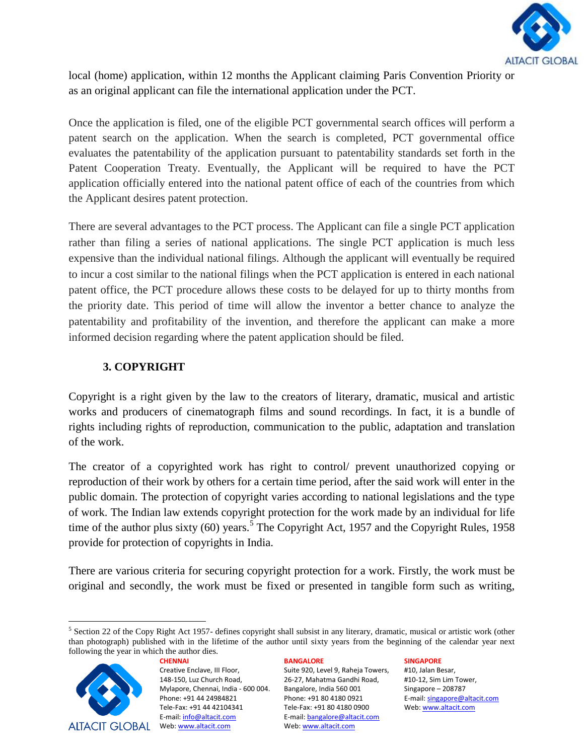

local (home) application, within 12 months the Applicant claiming Paris Convention Priority or as an original applicant can file the international application under the PCT.

Once the application is filed, one of the eligible PCT governmental search offices will perform a patent search on the application. When the search is completed, PCT governmental office evaluates the patentability of the application pursuant to patentability standards set forth in the Patent Cooperation Treaty. Eventually, the Applicant will be required to have the PCT application officially entered into the national patent office of each of the countries from which the Applicant desires patent protection.

There are several advantages to the PCT process. The Applicant can file a single PCT application rather than filing a series of national applications. The single PCT application is much less expensive than the individual national filings. Although the applicant will eventually be required to incur a cost similar to the national filings when the PCT application is entered in each national patent office, the PCT procedure allows these costs to be delayed for up to thirty months from the priority date. This period of time will allow the inventor a better chance to analyze the patentability and profitability of the invention, and therefore the applicant can make a more informed decision regarding where the patent application should be filed.

# **3. COPYRIGHT**

Copyright is a right given by the law to the creators of literary, dramatic, musical and artistic works and producers of cinematograph films and sound recordings. In fact, it is a bundle of rights including rights of reproduction, communication to the public, adaptation and translation of the work.

The creator of a copyrighted work has right to control/ prevent unauthorized copying or reproduction of their work by others for a certain time period, after the said work will enter in the [public](http://en.wikipedia.org/wiki/Public_domain) domain. The protection of copyright varies according to national legislations and the type of work. The Indian law extends copyright protection for the work made by an individual for life time of the author plus sixty (60) years.<sup>5</sup> The Copyright Act, 1957 and the Copyright Rules, 1958 provide for protection of copyrights in India.

There are various criteria for securing copyright protection for a work. Firstly, the work must be original and secondly, the work must be fixed or presented in tangible form such as writing,

 $5$  Section 22 of the Copy Right Act 1957- defines copyright shall subsist in any literary, dramatic, musical or artistic work (other than photograph) published with in the lifetime of the author until sixty years from the beginning of the calendar year next following the year in which the author dies.



l

Creative Enclave, III Floor, 148-150, Luz Church Road, Mylapore, Chennai, India - 600 004. Phone: +91 44 24984821 Tele-Fax: +91 44 42104341 E-mail: info@altacit.com

**CHENNAI**

### **BANGALORE**

Suite 920, Level 9, Raheja Towers, 26-27, Mahatma Gandhi Road, Bangalore, India 560 001 Phone: +91 80 4180 0921 Tele-Fax: +91 80 4180 0900 E-mail: bangalore@altacit.com Web: www.altacit.com

#### **SINGAPORE**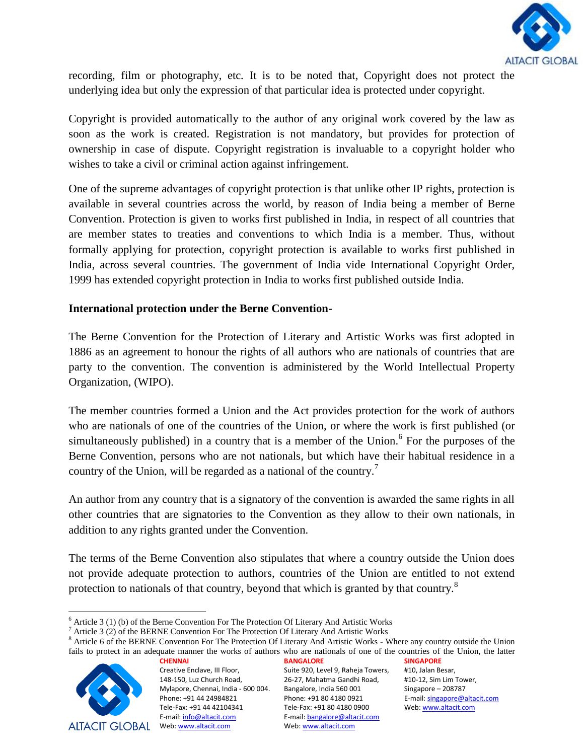

recording, film or photography, etc*.* It is to be noted that, Copyright does not protect the underlying idea but only the expression of that particular idea is protected under copyright.

Copyright is provided automatically to the author of any original work covered by the law as soon as the work is created. Registration is not mandatory, but provides for protection of ownership in case of dispute. Copyright registration is invaluable to a copyright holder who wishes to take a civil or criminal action against infringement.

One of the supreme advantages of copyright protection is that unlike other IP rights, protection is available in several countries across the world, by reason of India being a member of Berne Convention. Protection is given to works first published in India, in respect of all countries that are member states to treaties and conventions to which India is a member. Thus, without formally applying for protection, copyright protection is available to works first published in India, across several countries. The government of India vide International Copyright Order, 1999 has extended copyright protection in India to works first published outside India.

# **International protection under the Berne Convention-**

The Berne Convention for the Protection of Literary and Artistic Works was first adopted in 1886 as an agreement to honour the rights of all authors who are nationals of countries that are party to the convention. The convention is administered by the World Intellectual Property Organization, (WIPO).

The member countries formed a Union and the Act provides protection for the work of authors who are nationals of one of the countries of the Union, or where the work is first published (or simultaneously published) in a country that is a member of the Union.<sup>6</sup> For the purposes of the Berne Convention, persons who are not nationals, but which have their habitual residence in a country of the Union, will be regarded as a national of the country.<sup>7</sup>

An author from any country that is a signatory of the convention is awarded the same rights in all other countries that are signatories to the Convention as they allow to their own nationals, in addition to any rights granted under the Convention.

The terms of the Berne Convention also stipulates that where a country outside the Union does not provide adequate protection to authors, countries of the Union are entitled to not extend protection to nationals of that country, beyond that which is granted by that country.<sup>8</sup>

**CHENNAI** <sup>8</sup> Article 6 of the BERNE Convention For The Protection Of Literary And Artistic Works - Where any country outside the Union fails to protect in an adequate manner the works of authors who are nationals of one of the countries of the Union, the latter



 $\overline{\phantom{a}}$ 

Creative Enclave, III Floor, 148-150, Luz Church Road, Mylapore, Chennai, India - 600 004. Phone: +91 44 24984821 Tele-Fax: +91 44 42104341 E-mail: info@altacit.com

**BANGALORE** Suite 920, Level 9, Raheja Towers, 26-27, Mahatma Gandhi Road, Bangalore, India 560 001 Phone: +91 80 4180 0921 Tele-Fax: +91 80 4180 0900 E-mail: bangalore@altacit.com Web: www.altacit.com

 $6$  Article 3 (1) (b) of the Berne Convention For The Protection Of Literary And Artistic Works

 $7$  Article 3 (2) of the BERNE Convention For The Protection Of Literary And Artistic Works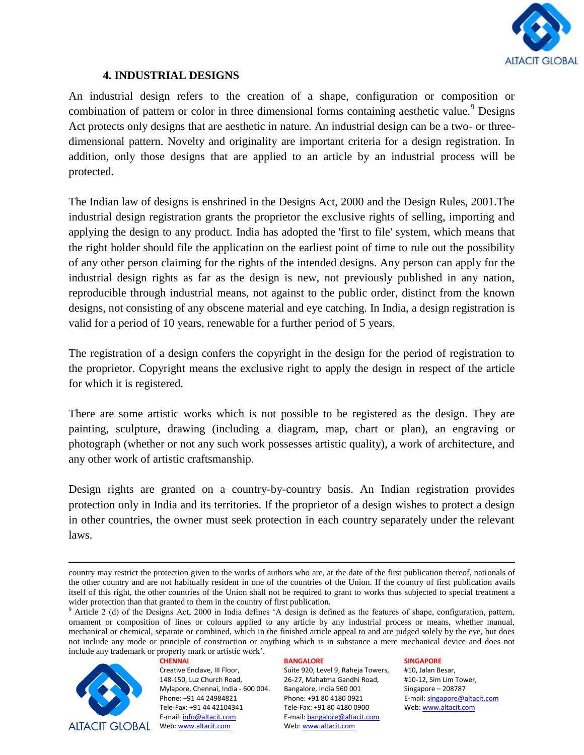

### **4. INDUSTRIAL DESIGNS**

An industrial design refers to the creation of a shape, configuration or composition or combination of pattern or color in three dimensional forms containing aesthetic value.<sup>9</sup> Designs Act protects only designs that are aesthetic in nature. An industrial design can be a two- or threedimensional pattern. Novelty and originality are important criteria for a design registration. In addition, only those designs that are applied to an article by an industrial process will be protected.

The Indian law of designs is enshrined in the Designs Act, 2000 and the Design Rules, 2001.The industrial design registration grants the proprietor the exclusive rights of selling, importing and applying the design to any product. India has adopted the 'first to file' system, which means that the right holder should file the application on the earliest point of time to rule out the possibility of any other person claiming for the rights of the intended designs. Any person can apply for the industrial design rights as far as the design is new, not previously published in any nation, reproducible through industrial means, not against to the public order, distinct from the known designs, not consisting of any obscene material and eye catching. In India, a design registration is valid for a period of 10 years, renewable for a further period of 5 years.

The registration of a design confers the copyright in the design for the period of registration to the proprietor. Copyright means the exclusive right to apply the design in respect of the article for which it is registered.

There are some artistic works which is not possible to be registered as the design. They are painting, sculpture, drawing (including a diagram, map, chart or plan), an engraving or photograph (whether or not any such work possesses artistic quality), a work of architecture, and any other work of artistic craftsmanship.

Design rights are granted on a country-by-country basis. An Indian registration provides protection only in India and its territories. If the proprietor of a design wishes to protect a design in other countries, the owner must seek protection in each country separately under the relevant laws.

**CHENNAI**



 $\overline{\phantom{a}}$ 

Creative Enclave, III Floor, 148-150, Luz Church Road, Mylapore, Chennai, India - 600 004. Phone: +91 44 24984821 Tele-Fax: +91 44 42104341 E-mail: info@altacit.com

#### **BANGALORE**

Suite 920, Level 9, Raheja Towers, 26-27, Mahatma Gandhi Road, Bangalore, India 560 001 Phone: +91 80 4180 0921 Tele-Fax: +91 80 4180 0900 E-mail: bangalore@altacit.com Web: www.altacit.com

#### **SINGAPORE**

country may restrict the protection given to the works of authors who are, at the date of the first publication thereof, nationals of the other country and are not habitually resident in one of the countries of the Union. If the country of first publication avails itself of this right, the other countries of the Union shall not be required to grant to works thus subjected to special treatment a wider protection than that granted to them in the country of first publication.

<sup>9</sup> Article 2 (d) of the Designs Act, 2000 in India defines "A design is defined as the features of shape, configuration, pattern, ornament or composition of lines or colours applied to any article by any industrial process or means, whether manual, mechanical or chemical, separate or combined, which in the finished article appeal to and are judged solely by the eye, but does not include any mode or principle of construction or anything which is in substance a mere mechanical device and does not include any trademark or property mark or artistic work".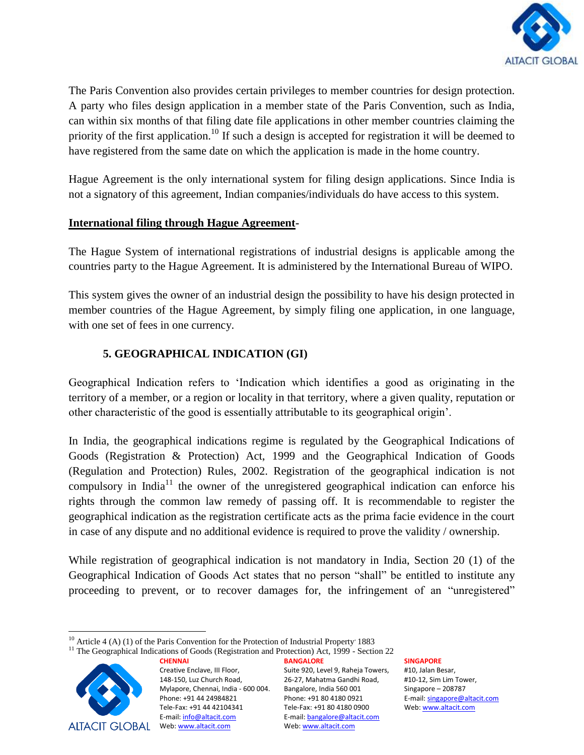

The Paris Convention also provides certain privileges to member countries for design protection. A party who files design application in a member state of the Paris Convention, such as India, can within six months of that filing date file applications in other member countries claiming the priority of the first application.<sup>10</sup> If such a design is accepted for registration it will be deemed to have registered from the same date on which the application is made in the home country.

Hague Agreement is the only international system for filing design applications. Since India is not a signatory of this agreement, Indian companies/individuals do have access to this system.

# **International filing through Hague Agreement-**

The Hague System of international registrations of industrial designs is applicable among the countries party to the Hague Agreement*.* It is administered by the International Bureau of WIPO.

This system gives the owner of an industrial design the possibility to have his design protected in member countries of the Hague Agreement, by simply filing one application, in one language, with one set of fees in one currency.

# **5. GEOGRAPHICAL INDICATION (GI)**

Geographical Indication refers to "Indication which identifies a good as originating in the territory of a member, or a region or locality in that territory, where a given quality, reputation or other characteristic of the good is essentially attributable to its geographical origin".

In India, the geographical indications regime is regulated by the Geographical Indications of Goods (Registration & Protection) Act, 1999 and the Geographical Indication of Goods (Regulation and Protection) Rules, 2002. Registration of the geographical indication is not compulsory in India<sup>11</sup> the owner of the unregistered geographical indication can enforce his rights through the common law remedy of passing off. It is recommendable to register the geographical indication as the registration certificate acts as the prima facie evidence in the court in case of any dispute and no additional evidence is required to prove the validity / ownership.

While registration of geographical indication is not mandatory in India, Section 20 (1) of the Geographical Indication of Goods Act states that no person "shall" be entitled to institute any proceeding to prevent, or to recover damages for, the infringement of an "unregistered"

<sup>&</sup>lt;sup>11</sup> The Geographical Indications of Goods (Registration and Protection) Act, 1999 - Section 22



Creative Enclave, III Floor, 148-150, Luz Church Road, Mylapore, Chennai, India - 600 004. Phone: +91 44 24984821 Tele-Fax: +91 44 42104341 E-mail: info@altacit.com

**CHENNAI**

**BANGALORE** Suite 920, Level 9, Raheja Towers, 26-27, Mahatma Gandhi Road, Bangalore, India 560 001 Phone: +91 80 4180 0921 Tele-Fax: +91 80 4180 0900 E-mail: bangalore@altacit.com Web: www.altacit.com

**SINGAPORE**

 $\overline{a}$  $10$  Article 4 (A) (1) of the Paris Convention for the Protection of Industrial Property 1883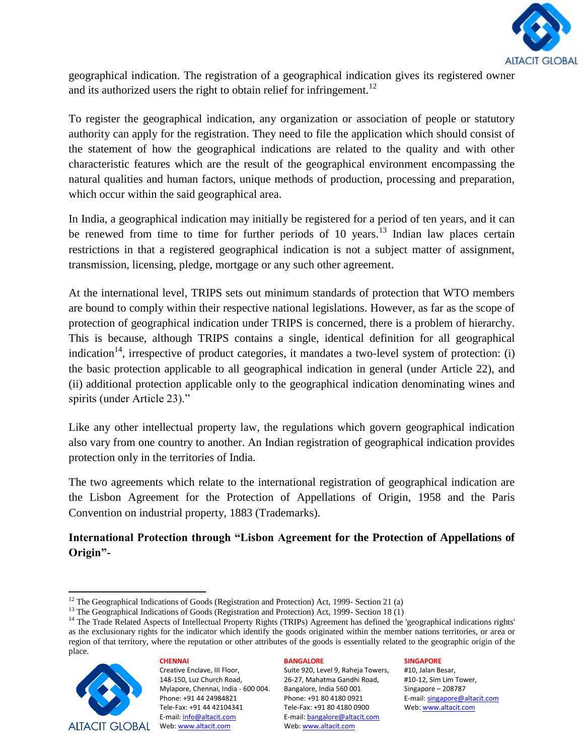

geographical indication. The registration of a geographical indication gives its registered owner and its authorized users the right to obtain relief for infringement.<sup>12</sup>

To register the geographical indication, any organization or association of people or statutory authority can apply for the registration. They need to file the application which should consist of the statement of how the geographical indications are related to the quality and with other characteristic features which are the result of the geographical environment encompassing the natural qualities and human factors, unique methods of production, processing and preparation, which occur within the said geographical area.

In India, a geographical indication may initially be registered for a period of ten years, and it can be renewed from time to time for further periods of 10 years.<sup>13</sup> Indian law places certain restrictions in that a registered geographical indication is not a subject matter of assignment, transmission, licensing, pledge, mortgage or any such other agreement.

At the international level, TRIPS sets out minimum standards of protection that WTO members are bound to comply within their respective national legislations. However, as far as the scope of protection of geographical indication under TRIPS is concerned, there is a problem of hierarchy. This is because, although TRIPS contains a single, identical definition for all geographical indication<sup>14</sup>, irrespective of product categories, it mandates a two-level system of protection: (i) the basic protection applicable to all geographical indication in general (under Article 22), and (ii) additional protection applicable only to the geographical indication denominating wines and spirits (under Article 23)."

Like any other intellectual property law, the regulations which govern geographical indication also vary from one country to another. An Indian registration of geographical indication provides protection only in the territories of India.

The two agreements which relate to the international registration of geographical indication are the Lisbon Agreement for the Protection of Appellations of Origin, 1958 and the Paris Convention on industrial property, 1883 (Trademarks).

# **International Protection through "Lisbon Agreement for the Protection of Appellations of Origin"-**

<sup>&</sup>lt;sup>14</sup> The Trade Related Aspects of Intellectual Property Rights (TRIPs) Agreement has defined the 'geographical indications rights' as the exclusionary rights for the indicator which identify the goods originated within the member nations territories, or area or region of that territory, where the reputation or other attributes of the goods is essentially related to the geographic origin of the place.



**CHENNAI** Creative Enclave, III Floor, 148-150, Luz Church Road, Mylapore, Chennai, India - 600 004. Phone: +91 44 24984821 Tele-Fax: +91 44 42104341 E-mail: info@altacit.com Web: www.altacit.com

### **BANGALORE**

Suite 920, Level 9, Raheja Towers, 26-27, Mahatma Gandhi Road, Bangalore, India 560 001 Phone: +91 80 4180 0921 Tele-Fax: +91 80 4180 0900 E-mail: bangalore@altacit.com Web: www.altacit.com

### **SINGAPORE**

 $\overline{\phantom{a}}$ <sup>12</sup> The Geographical Indications of Goods (Registration and Protection) Act, 1999- Section 21 (a)

<sup>&</sup>lt;sup>13</sup> The Geographical Indications of Goods (Registration and Protection) Act, 1999- Section 18 (1)